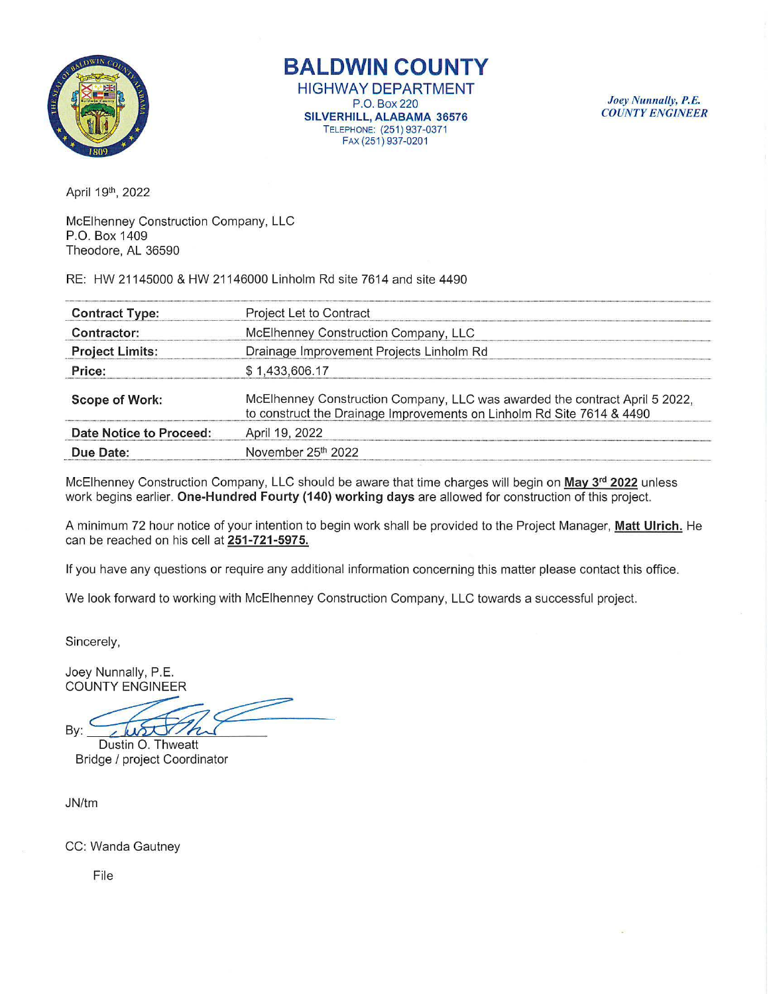

**BALDWIN COUNTY** 

HIGHWAY DEPARTMENT P.O. Box220 SILVERHILL, ALABAMA 36576 TELEPHONE: (251 ) 937-0371 FAX (251) 937-0201

*J oey Nw111ally, P.E. COUNTY ENGINEER* 

April 19th, 2022

McElhenney Construction Company, LLC P.O. Box 1409 Theodore, AL 36590

RE: HW 21145000 & HW 21146000 Linholm Rd site 7614 and site 4490

| <b>Contract Type:</b>          | Project Let to Contract                                                                                                                              |  |
|--------------------------------|------------------------------------------------------------------------------------------------------------------------------------------------------|--|
| Contractor:                    | McElhenney Construction Company, LLC                                                                                                                 |  |
| <b>Project Limits:</b>         | Drainage Improvement Projects Linholm Rd                                                                                                             |  |
| Price:                         | \$1,433,606.17                                                                                                                                       |  |
| <b>Scope of Work:</b>          | McElhenney Construction Company, LLC was awarded the contract April 5 2022,<br>to construct the Drainage Improvements on Linholm Rd Site 7614 & 4490 |  |
| <b>Date Notice to Proceed:</b> | April 19, 2022                                                                                                                                       |  |
| Due Date:                      | November 25th 2022                                                                                                                                   |  |

McElhenney Construction Company, LLC should be aware that time charges will begin on May 3<sup>rd</sup> 2022 unless work begins earlier. One-Hundred Fourty (140) working days are allowed for construction of this project.

A minimum 72 hour notice of your intention to begin work shall be provided to the Project Manager, Matt Ulrich. He can be reached on his cell at 251 -721-5975.

If you have any questions or require any additional information concerning this matter please contact this office.

We look forward to working with McElhenney Construction Company, LLC towards a successful project.

Sincerely,

Joey Nunnally, P.E. COUNTY ENGINEER

By:

Dustin O. Thweatt Bridge I project Coordinator

JN/tm

CC: Wanda Gautney

File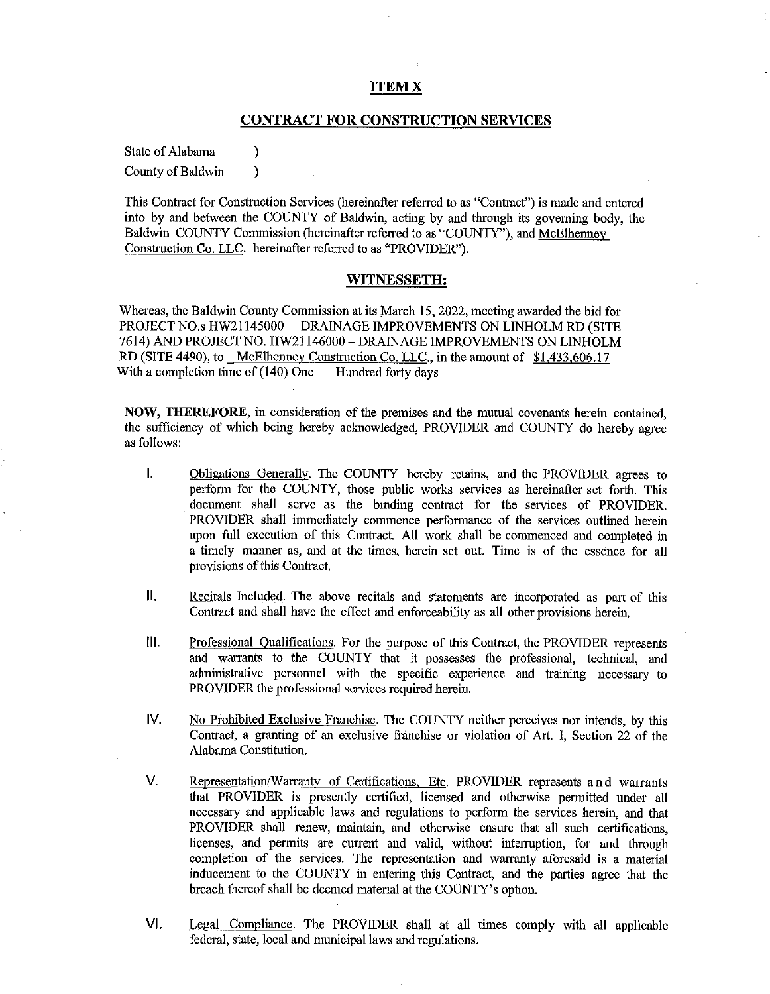# **ITEMX**

# **CONTRACT FOR CONSTRUCTION SERVICES**

State of Alabama (b) County of Baldwin )

This Contract for Construction Services (hereinafter referred to as "Contract") is made and entered into by and between the COUNTY of Baldwin, acting by and through its governing body, the Baldwin COUNTY Commission (hereinafter referred to as "COUNTY"), and McElhenney Construction Co. LLC. hereinafter referred to as "PROVIDER").

### **WITNESSETH:**

Whereas, the Baldwin County Commission at its March 15. 2022, meeting awarded the bid for PROJECT NO.s HW21145000 - DRAINAGE IMPROVEMENTS ON LINHOLM RD (SITE 7614) AND PROJECT NO. HW21146000 -DRAINAGE IMPROVEMENTS ON LINH OLM RD (SITE 4490), to McElhenney Construction Co. LLC., in the amount of \$1,433,606.17 With a completion time of  $(140)$  One Hundred forty days

**NOW, THEREFORE,** in consideration of the premises and the mutual covenants herein contained, the sufficiency of which being hereby acknowledged, PROVIDER and COUNTY do hereby agree as follows:

- I. Obligations Generally. The COUNTY hereby retains, and the PROVIDER agrees to perfonn for the COUNTY, those public works services as hereinafter set forth. This document shall serve as the binding contract for the services of PROVIDER. PROVIDER shall immediately commence performance of the services outlined herein upon full execution of this Contract. All work shall be commenced and completed in a timely manner as, and at the times, herein set out. Time is of the essence for all provisions of this Contract.
- **II.** Recitals Included. The above recitals and statements are incorporated as part of this Contract and shall have the effect and enforceability as all other provisions herein.
- Ill. Professional Qualifications. For the purpose of this Contract, the PROVIDER represents and warrants to the COUNTY that it possesses the professional, technical, and administrative personnel with the specific experience and training necessary to PROVIDER the professional services required herein.
- IV. No Prohibited Exclusive Franchise. The COUNTY neither perceives nor intends, by this Contract, a granting of an exclusive franchise or violation of Art. I, Section 22 of the Alabama Constitution.
- V. Representation/Warranty of Certifications, Etc. PROVIDER represents and warrants that PROVIDER is presently certified, licensed and otherwise permitted under all necessary and applicable laws and regulations to perfonn the services herein, and that PROVIDER shall renew, maintain, and otherwise ensure that all such certifications, licenses, and permits are current and valid, without interruption, for and through completion of the services. The representation and warranty aforesaid is a material inducement to the COUNTY in entering this Contract, and the parties agree that the breach thereof shall be deemed material at the COUNTY's option.
- VI. Legal Compliance. The PROVIDER shall at all times comply with all applicable federal, state, local and municipal laws and regulations.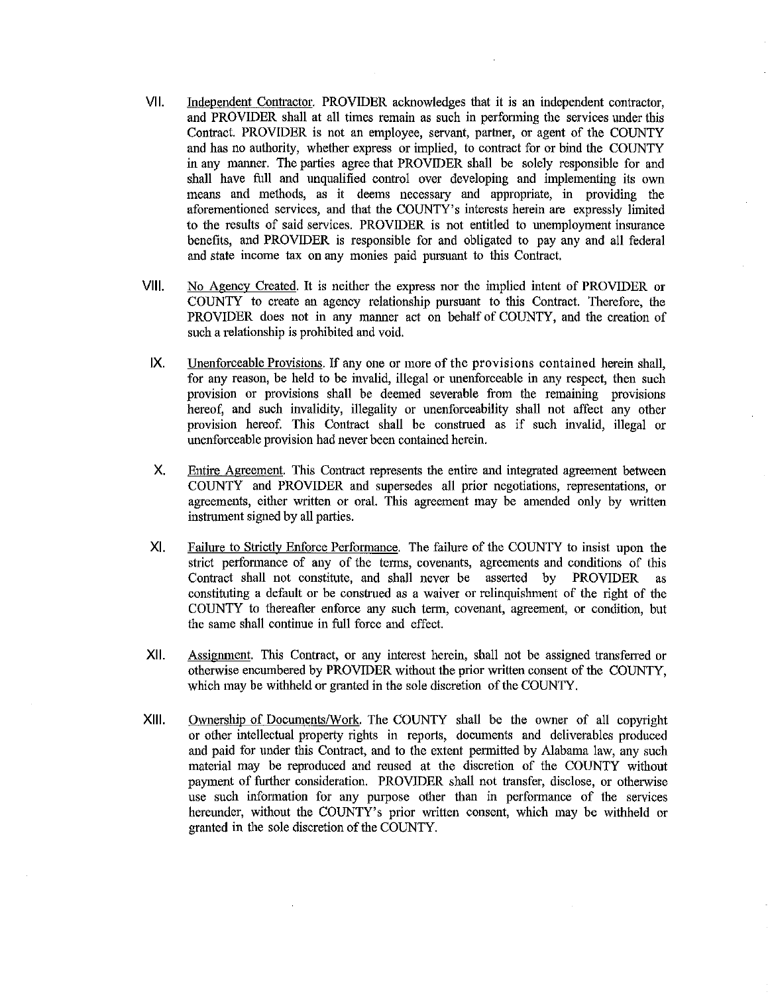- VII. Independent Contractor. PROVIDER acknowledges that it is an independent contractor, and PROVIDER shall at all times remain as such in performing the services under this Contract. PROVIDER is not an employee, servant, partner, or agent of the COUNTY and has no authority, whether express or implied, to contract for or bind the COUNTY in any manner. The parties agree that PROVIDER shall be solely responsible for and shall have full and unqualified control over developing and implementing its own means and methods, as it deems necessary and appropriate, in providing the aforementioned services, and that the COUNTY's interests herein are expressly limited to the results of said services. PROVIDER is not entitled to unemployment insurance benefits, and PROVIDER is responsible for and obligated to pay any and all federal and state income tax on any monies paid pursuant to this Contract.
- VIII. No Agency Created. It is neither the express nor the implied intent of PROVIDER or COUNTY to create an agency relationship pursuant to this Contract. Therefore, the PROVIDER does not in any manner act on behalf of COUNTY, and the creation of such a relationship is prohibited and void.
- IX. Unenforceable Provisions. If any one or more of the provisions contained herein shall, for any reason, be held to be invalid, illegal or unenforceable in any respect, then such provision or provisions shall be deemed severable from the remaining provisions hereof, and such invalidity, illegality or unenforceability shall not affect any other provision hereof. This Contract shall be construed as if such invalid, illegal or unenforceable provision had never been contained herein.
- X. Entire Agreement. This Contract represents the entire and integrated agreement between COUNTY and PROVIDER and supersedes all prior negotiations, representations, or agreements, either written or oral. This agreement may be amended only by written instrument signed by all parties.
- XI. Failure to Strictly Enforce Performance. The failure of the COUNTY to insist upon the strict performance of any of the terms, covenants, agreements and conditions of this Contract shall not constitute, and shall never be asserted by PROVIDER as constituting a default or be construed as a waiver or relinquishment of the right of the COUNTY to thereafter enforce any such term, covenant, agreement, or condition, but the same shall continue in full force and effect.
- XII. Assignment. This Contract, or any interest herein, shall not be assigned transferred or otherwise encumbered by PROVIDER without the prior written consent of the COUNTY, which may be withheld or granted in the sole discretion of the COUNTY.
- XIII. Ownership of Documents/Work. The COUNTY shall be the owner of all copyright or other intellectual property rights in reports, documents and deliverables produced and paid for under this Contract, and to the extent permitted by Alabama law, any such material may be reproduced and reused at the discretion of the COUNTY without payment of further consideration. PROVIDER shall not transfer, disclose, or otherwise use such information for any purpose other than in performance of the services hereunder, without the COUNTY's prior written consent, which may be withheld or granted in the sole discretion of the COUNTY.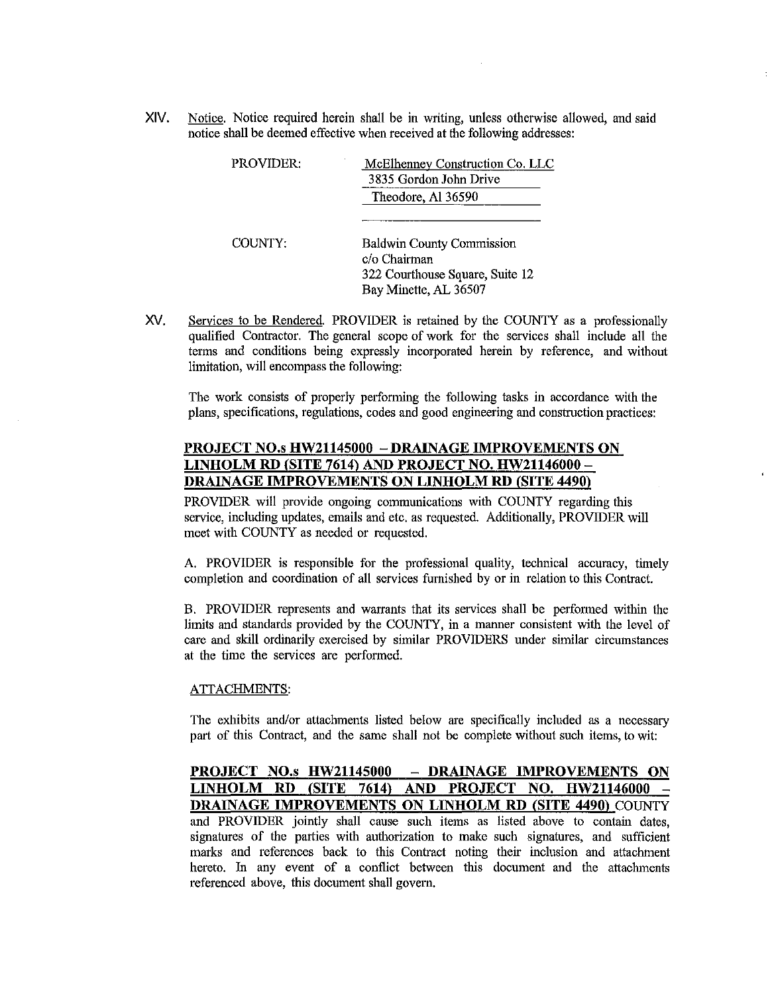XIV. Notice. Notice required herein shall be in writing, unless otherwise allowed, and said notice shall be deemed effective when received at the following addresses:

| <b>PROVIDER:</b> | McElhenney Construction Co. LLC<br>3835 Gordon John Drive                                                    |
|------------------|--------------------------------------------------------------------------------------------------------------|
|                  | Theodore, Al 36590                                                                                           |
| COUNTY:          | <b>Baldwin County Commission</b><br>c/o Chairman<br>322 Courthouse Square, Suite 12<br>Bay Minette, AL 36507 |

XV. Services to be Rendered. PROVIDER is retained by the COUNTY as a professionally qualified Contractor. The general scope of work for the services shall include all the terms and conditions being expressly incorporated herein by reference, and without limitation, will encompass the following:

The work consists of properly performing the following tasks in accordance with the plans, specifications, regulations, codes and good engineering and construction practices:

# **PROJECT NO.s HW21145000 - DRAINAGE IMPROVEMENTS ON LINHOLM RD (SITE 7614) AND PROJECT NO. HW21146000** - **DRAINAGE IMPROVEMENTS ON LINHOLM RD (SITE 4490)**

PROVIDER will provide ongoing communications with COUNTY regarding this service, including updates, emails and etc. as requested. Additionally, PROVIDER will meet with COUNTY as needed or requested.

A. PROVIDER is responsible for the professional quality, technical accuracy, timely completion and coordination of all services furnished by or in relation to this Contract.

B. PROVIDER represents and warrants that its services shall be performed within the limits and standards provided by the COUNTY, in a manner consistent with the level of care and skill ordinarily exercised by similar PROVIDERS under similar circumstances at the time the services are performed.

#### ATTACHMENTS:

The exhibits and/or attachments listed below are specifically included as a necessary part of this Contract, and the same shall not be complete without such items, to wit:

**PROJECT NO.s HW21145000 - DRAINAGE IMPROVEMENTS ON LINHOLM RD (SITE 7614) AND PROJECT NO. HW21146000** - **DRAINAGE IMPROVEMENTS ON LINHOLM RD (SITE 4490)** COUNTY and PROVIDER jointly shall cause such items as listed above to contain dates, signatures of the parties with authorization to make such signatures, and sufficient marks and references back to this Contract noting their inclusion and attachment hereto. In any event of a conflict between this document and the attachments referenced above, this document shall govern.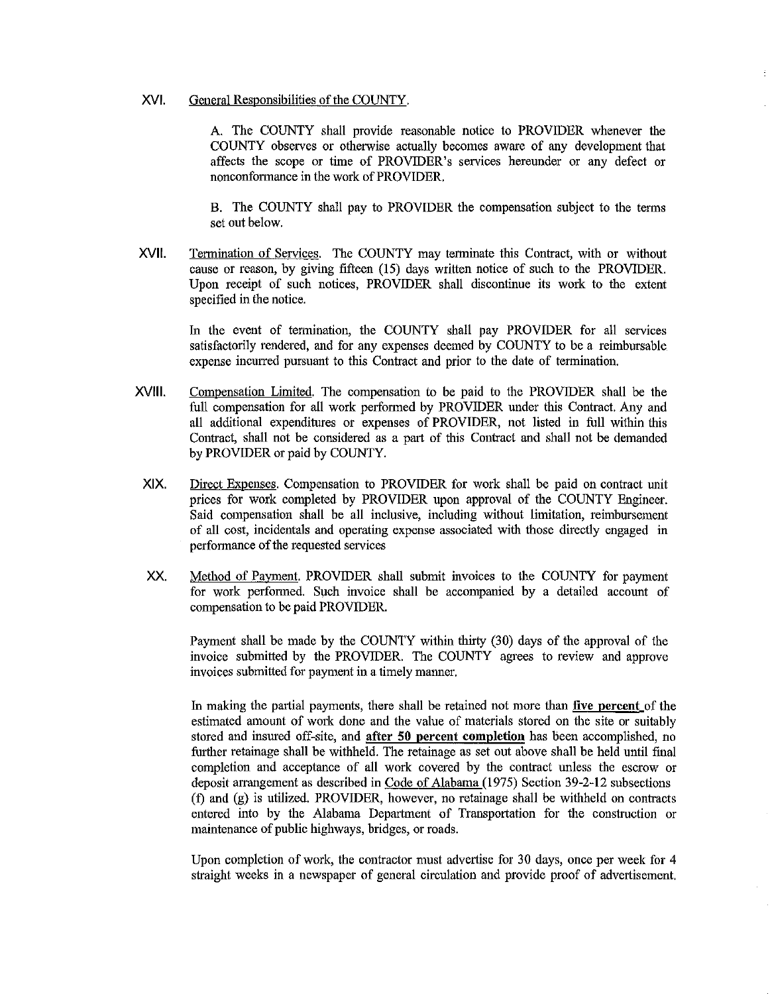# XVI. General Responsibilities of the COUNTY.

A. The COUNTY shall provide reasonable notice to PROVIDER whenever the COUNTY observes or otherwise actually becomes aware of any development that affects the scope or time of PROVIDER's services hereunder or any defect or nonconformance in the work of PROVIDER.

B. The COUNTY shall pay to PROVIDER the compensation subject to the terms set out below.

XVII. Termination of Services. The COUNTY may terminate this Contract, with or without cause or reason, by giving fifteen (15) days written notice of such to the PROVIDER. Upon receipt of such notices, PROVIDER shall discontinue its work to the extent specified in the notice.

In the event of termination, the COUNTY shall pay PROVIDER for all services satisfactorily rendered, and for any expenses deemed by COUNTY to be a reimbursable expense incurred pursuant to this Contract and prior to the date of termination.

- XVIII. Compensation Limited. The compensation to be paid to the PROVIDER shall be the full compensation for all work performed by PROVIDER under this Contract. Any and all additional expenditures or expenses of PROVIDER, not listed in full within this Contract, shall not be considered as a part of this Contract and shall not be demanded by PROVIDER or paid by COUNTY.
- XIX. Direct Expenses. Compensation to PROVIDER for work shall be paid on contract unit prices for work completed by PROVIDER upon approval of the COUNTY Engineer. Said compensation shall be all inclusive, including without limitation, reimbursement of all cost, incidentals and operating expense associated with those directly engaged in performance of the requested services
- xx. Method of Payment. PROVIDER shall submit invoices to the COUNTY for payment for work perfonned. Such invoice shall be accompanied by a detailed account of compensation to be paid PROVIDER.

Payment shall be made by the COUNTY within thirty (30) days of the approval of the invoice submitted by the PROVIDER. The COUNTY agrees to review and approve invoices submitted for payment in a timely manner.

In making the partial payments, there shall be retained not more than five percent of the estimated amount of work done and the value of materials stored on the site or suitably stored and insured off-site, and after 50 percent completion has been accomplished, no further retainage shall be withheld. The retainage as set out above shall be held until final completion and acceptance of all work covered by the contract unless the escrow or deposit arrangement as described in Code of Alabama (1975) Section 39-2-12 subsections (f) and (g) is utilized. PROVIDER, however, no retainage shall be withheld on contracts entered into by the Alabama Department of Transportation for the construction or maintenance of public highways, bridges, or roads.

Upon completion of work, the contractor must advertise for 30 days, once per week for 4 straight weeks in a newspaper of general circulation and provide proof of advertisement.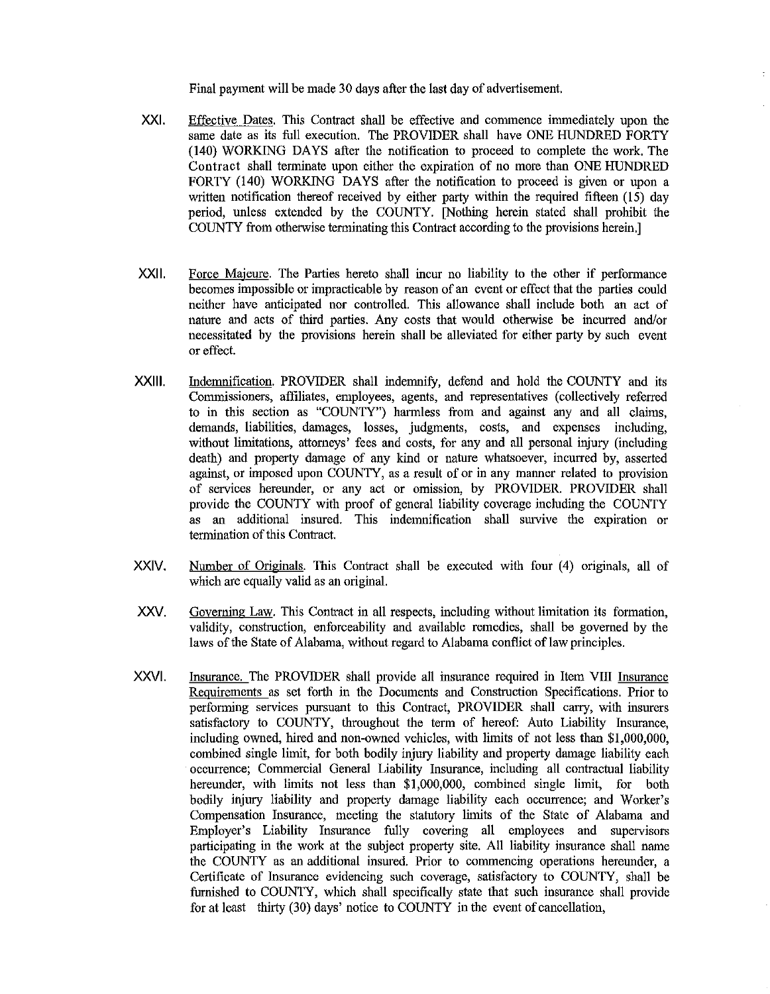Final payment will be made 30 days after the last day of advertisement.

- XXI. Effective Dates. This Contract shall be effective and commence immediately upon the same date as its full execution. The PROVIDER shall have ONE HUNDRED FORTY (140) WORKING DAYS after the notification to proceed to complete the work. The Contract shall terminate upon either the expiration of no more than ONE HUNDRED FORTY (140) WORKING DAYS after the notification to proceed is given or upon a written notification thereof received by either party within the required fifteen (15) day period, unless extended by tbe COUNTY. [Nothing herein stated shall prohibit the COUNTY from otherwise terminating this Contract according to the provisions herein.]
- XXII. Force Majeure. The Parties hereto shall incur no liability to the other if performance becomes impossible or impracticable by reason of an event or effect that the parties could neither have anticipated nor controlled. This allowance shall include both an act of nature and acts of third parties. Any costs that would otherwise be incurred and/or necessitated by the provisions herein shall be alleviated for either party by such event or effect.
- XXlll. Indenmification. PROVIDER shall indenmify, defend and hold the COUNTY and its Commissioners, affiliates, employees, agents, and representatives (collectively referred to in this section as "COUNTY") harmless from and against any and all claims, demands, liabilities, damages, losses, judgments, costs, and expenses including, without limitations, attorneys' fees and costs, for any and all personal injury (including death) and property damage of any kind or nature whatsoever, incurred by, asserted against, or imposed upon COUNTY, as a result of or in any manner related to provision of services hereunder, or any act or omission, by PROVIDER. PROVIDER shall provide tbe COUNTY with proof of general liability coverage including the COUNTY as an additional insured. This indemnification shall survive the expiration or termination of this Contract.
- XXIV. Number of Originals. This Contract shall be executed witb four (4) originals, all of which are equally valid as an original.
- XXV. Governing Law. This Contract in all respects, including without limitation its formation, validity, construction, enforceability and available remedies, shall be governed by the laws of the State of Alabama, without regard to Alabama conflict of law principles.
- XXVI. Insurance. The PROVIDER shall provide all insurance required in Item VIII Insurance Requirements as set forth in the Documents and Construction Specifications. Prior to performing services pursuant to this Contract, PROVIDER shall carry, with insurers satisfactory to COUNTY, throughout the term of hereof: Auto Liability Insurance, including owned, hired and non-owned vehicles, witb limits of not less than \$1,000,000, combined single limit, for both bodily injury liability and property damage liability each occurrence; Commercial General Liability Insurance, including all contractual liability hereunder, with limits not less than \$1,000,000, combined single limit, for both bodily injury liability and property damage liability each occurrence; and Worker's Compensation Insurance, meeting the statutory limits of the State of Alabama and Employer's Liability Insurance fully covering all employees and supervisors participating in the work at the subject property site. All liability insurance shall name the COUNTY as an additional insured. Prior to commencing operations hereunder, a Certificate of Insurance evidencing such coverage, satisfactory to COUNTY, shall be furnished to COUNTY, which shall specifically state that such insurance shall provide for at least thirty (30) days' notice to COUNTY in the event of cancellation,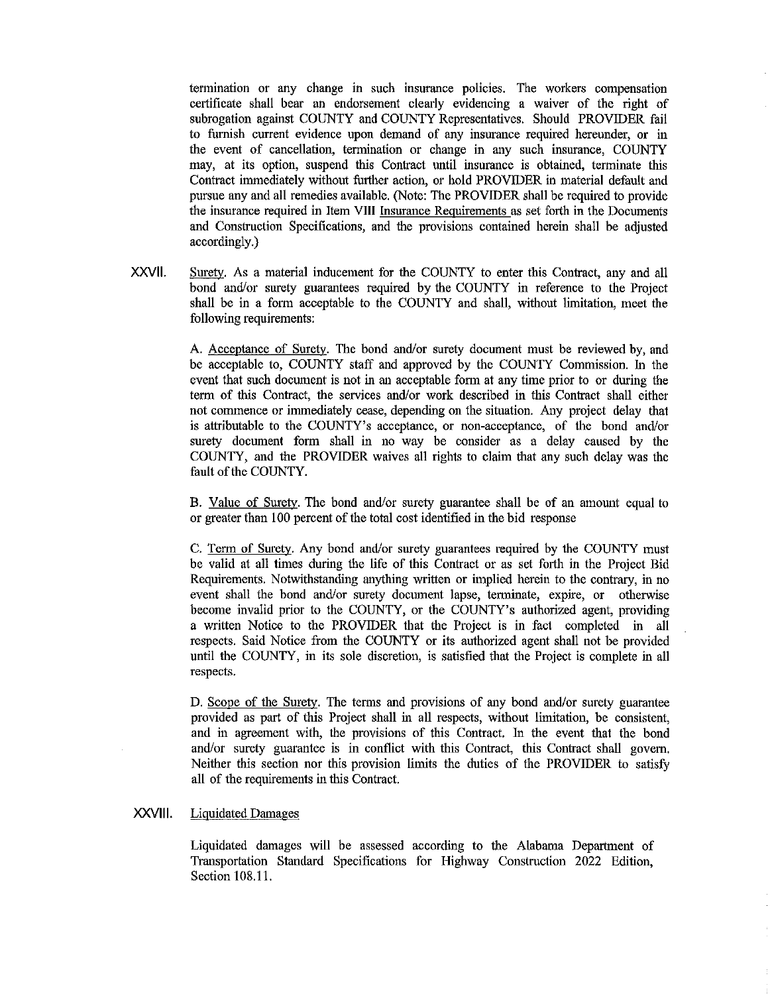termination or any change in such insurance policies. The workers compensation certificate shall bear an endorsement clearly evidencing a waiver of the right of subrogation against COUNTY and COUNTY Representatives. Should PROVIDER fail to furnish current evidence upon demand of any insurance required hereunder, or in the event of cancellation, termination or change in any such insurance, COUNTY may, at its option, suspend this Contract until insurance is obtained, terminate this Contract immediately without further action, or hold PROVIDER in material default and pursue any and all remedies available. (Note: The PROVIDER shall be required to provide the insurance required in Item VIII Insurance Requirements as set forth in the Documents and Construction Specifications, and the provisions contained herein shall be adjusted accordingly.)

XXVll. Surety. As a material inducement for the COUNTY to enter this Contract, any and all bond and/or surety guarantees required by the COUNTY in reference to the Project shall be in a form acceptable to the COUNTY and shall, without limitation, meet the following requirements:

> A. Acceptance of Surety. The bond and/or surety document must be reviewed by, and be acceptable to, COUNTY staff and approved by the COUNTY Commission. In the event that such document is not in an acceptable form at any time prior to or during the term of this Contract, the services and/or work described in this Contract shall either not commence or immediately cease, depending on the situation. Any project delay that is attributable to the COUNTY's acceptance, or non-acceptance, of the bond and/or surety document form shall in no way be consider as a delay caused by the COUNTY, and the PROVIDER waives all rights to claim that any such delay was the fault of the COUNTY.

> B. Value of Surety. The bond and/or surety guarantee shall be of an amount equal to or greater than 100 percent of the total cost identified in the bid response

> C. Term of Surety. Any bond and/or surety guarantees required by the COUNTY must be valid at all times during the life of this Contract or as set forth in the Project Bid Requirements. Notwithstanding anything written or implied herein to the contrary, in no event shall the bond and/or surety document lapse, terminate, expire, or otherwise become invalid prior to the COUNTY, or the COUNTY's authorized agent, providing a written Notice to the PROVIDER that the Project is in fact completed in all respects. Said Notice from the COUNTY or its authorized agent shall not be provided until the COUNTY, in its sole discretion, is satisfied that the Project is complete in all respects.

> D. Scope of the Surety. The terms and provisions of any bond and/or surety guarantee provided as pait of this Project shall in all respects, without limitation, be consistent, and in agreement with, the provisions of this Contract. In the event that the bond and/or surety guarantee is in conflict with this Contract, this Contract shall govern. Neither this section nor this provision limits the duties of the PROVIDER to satisfy all of the requirements in this Contract.

#### XXVIII. Liquidated Damages

Liquidated damages will be assessed according to the Alabama Department of Transportation Standard Specifications for Highway Construction 2022 Edition, Section 108.11.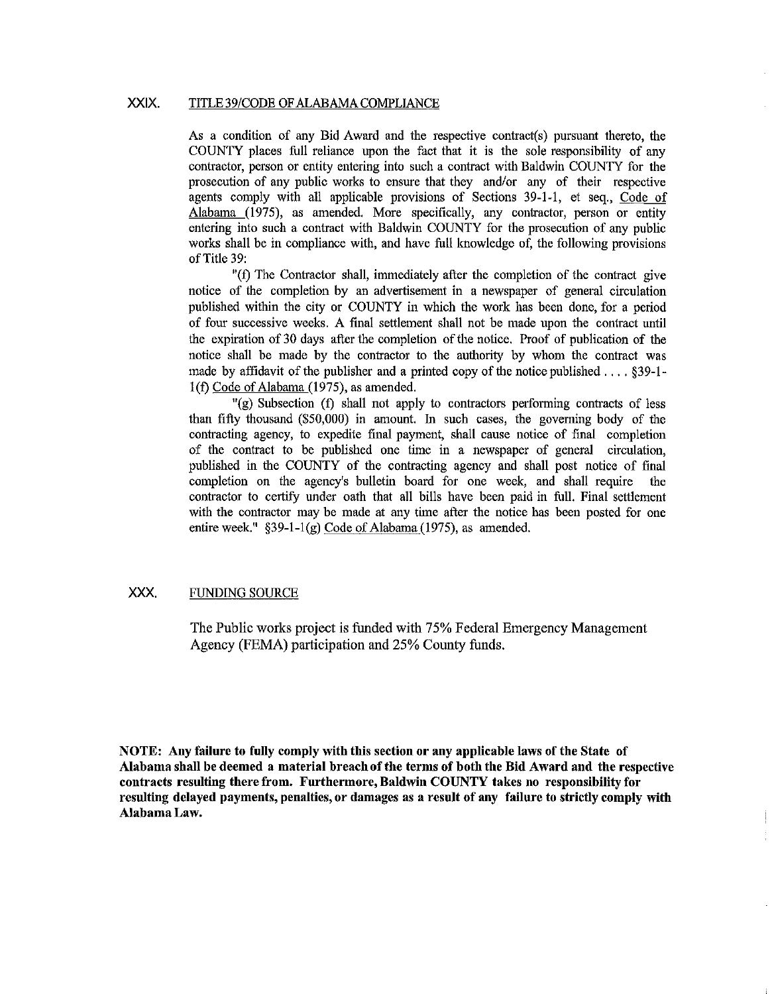## XXIX. TITLE 39/CODE OF ALABAMA COMPLIANCE

As a condition of any Bid Award and the respective contract(s) pursuant thereto, the COUNTY places full reliance upon the fact that it is the sole responsibility of any contractor, person or entity entering into such a contract with Baldwin COUNTY for the prosecution of any public works to ensure that they and/or any of their respective agents comply with all applicable provisions of Sections 39-1-1, et seq., Code of Alabama (1975), as amended. More specifically, any contractor, person or entity entering into such a contract with Baldwin COUNTY for the prosecution of any public works shall be in compliance with, and have full knowledge of, the following provisions of Title 39:

"(f) The Contractor shall, immediately after the completion of the contract give notice of the completion by an advertisement in a newspaper of general circulation published within the city or COUNTY in which the work has been done, for a period of four successive weeks. A final settlement shall not be made upon the contract until the expiration of 30 days after the completion of the notice. Proof of publication of the notice shall be made by the contractor to the authority by whom the contract was made by affidavit of the publisher and a printed copy of the notice published .... §39-1 l(f) Code of Alabama (1975), as amended.

 $\Gamma(g)$  Subsection (f) shall not apply to contractors performing contracts of less than fifty thousand (\$50,000) in amount. In such cases, the governing body of the contracting agency, to expedite final payment, shall cause notice of final completion of the contract to be published one time in a newspaper of general circulation, published in the COUNTY of the contracting agency and shall post notice of final completion on the agency's bulletin board for one week, and shall require the contractor to certify under oath that all bills have been paid in full. Final settlement with the contractor may be made at any time after the notice has been posted for one entire week." §39-1-l(g) Code of Alabama (1975), as amended.

# XXX. FUNDING SOURCE

The Public works project is funded with 75% Federal Emergency Management Agency (FEMA) participation and 25% County funds.

**NOTE: Any failure to fully comply with this scctiou or any applicable laws of the State of Alabama shall be deemed a material breach of the terms of both the Bid Award and the respective contracts resulting there from. Furthermore, Baldwin COUNTY takes no responsibility for resulting delayed payments, penalties, or damages as a result of any failure to strictly comply with Alabama Law.**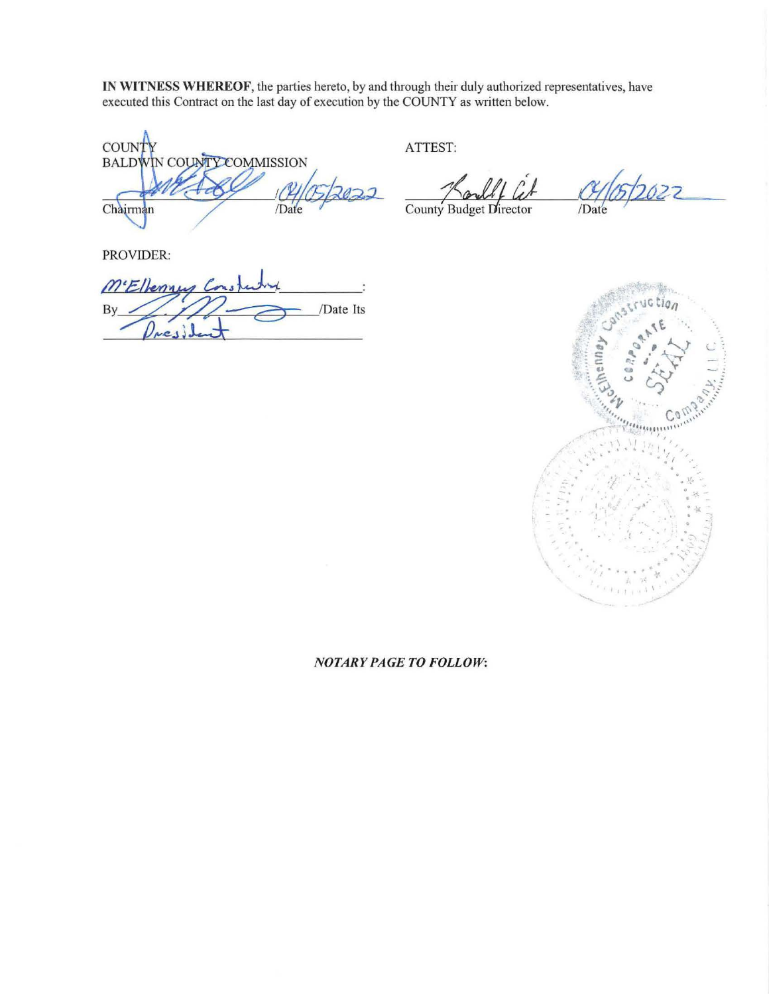IN WITNESS WHEREOF, the parties hereto, by and through their duly authorized representatives, have executed this Contract on the last day of execution by the COUNTY as written below.

**COUNT** BALDWIN COUNTY COMMISSION /Date Chairman

ATTEST:

 $2027$ 

County Budget Director

/Date

PROVIDER:

ME/lenney By /Date Its Ŋ  $ve_{1}$ 



## **NOTARY PAGE TO FOLLOW:**